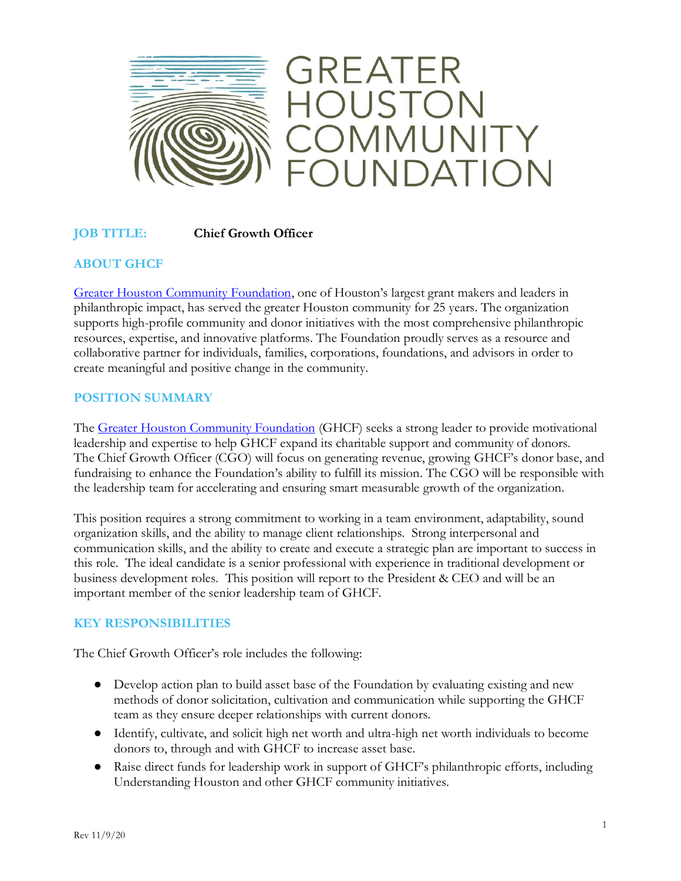

## **JOB TITLE: Chief Growth Officer**

## **ABOUT GHCF**

[Greater Houston Community Foundation](http://ghcf.org/), one of Houston's largest grant makers and leaders in philanthropic impact, has served the greater Houston community for 25 years. The organization supports high-profile community and donor initiatives with the most comprehensive philanthropic resources, expertise, and innovative platforms. The Foundation proudly serves as a resource and collaborative partner for individuals, families, corporations, foundations, and advisors in order to create meaningful and positive change in the community.

### **POSITION SUMMARY**

Th[e Greater Houston Community Foundation](https://ghcf.org/) (GHCF) seeks a strong leader to provide motivational leadership and expertise to help GHCF expand its charitable support and community of donors. The Chief Growth Officer (CGO) will focus on generating revenue, growing GHCF's donor base, and fundraising to enhance the Foundation's ability to fulfill its mission. The CGO will be responsible with the leadership team for accelerating and ensuring smart measurable growth of the organization.

This position requires a strong commitment to working in a team environment, adaptability, sound organization skills, and the ability to manage client relationships. Strong interpersonal and communication skills, and the ability to create and execute a strategic plan are important to success in this role. The ideal candidate is a senior professional with experience in traditional development or business development roles. This position will report to the President & CEO and will be an important member of the senior leadership team of GHCF.

### **KEY RESPONSIBILITIES**

The Chief Growth Officer's role includes the following:

- Develop action plan to build asset base of the Foundation by evaluating existing and new methods of donor solicitation, cultivation and communication while supporting the GHCF team as they ensure deeper relationships with current donors.
- Identify, cultivate, and solicit high net worth and ultra-high net worth individuals to become donors to, through and with GHCF to increase asset base.
- Raise direct funds for leadership work in support of GHCF's philanthropic efforts, including Understanding Houston and other GHCF community initiatives.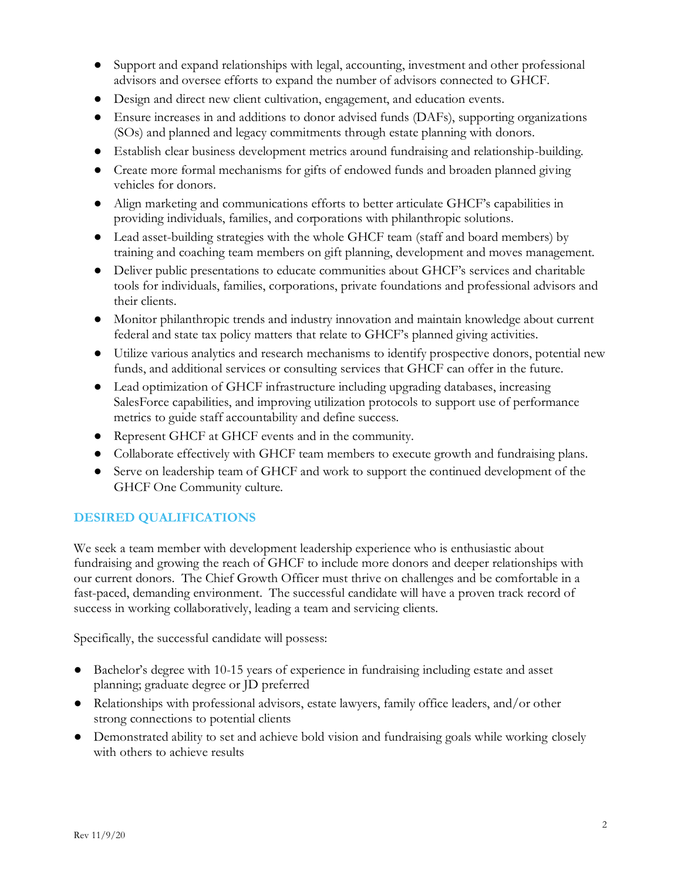- Support and expand relationships with legal, accounting, investment and other professional advisors and oversee efforts to expand the number of advisors connected to GHCF.
- Design and direct new client cultivation, engagement, and education events.
- Ensure increases in and additions to donor advised funds (DAFs), supporting organizations (SOs) and planned and legacy commitments through estate planning with donors.
- Establish clear business development metrics around fundraising and relationship-building.
- Create more formal mechanisms for gifts of endowed funds and broaden planned giving vehicles for donors.
- Align marketing and communications efforts to better articulate GHCF's capabilities in providing individuals, families, and corporations with philanthropic solutions.
- Lead asset-building strategies with the whole GHCF team (staff and board members) by training and coaching team members on gift planning, development and moves management.
- Deliver public presentations to educate communities about GHCF's services and charitable tools for individuals, families, corporations, private foundations and professional advisors and their clients.
- Monitor philanthropic trends and industry innovation and maintain knowledge about current federal and state tax policy matters that relate to GHCF's planned giving activities.
- Utilize various analytics and research mechanisms to identify prospective donors, potential new funds, and additional services or consulting services that GHCF can offer in the future.
- Lead optimization of GHCF infrastructure including upgrading databases, increasing SalesForce capabilities, and improving utilization protocols to support use of performance metrics to guide staff accountability and define success.
- Represent GHCF at GHCF events and in the community.
- Collaborate effectively with GHCF team members to execute growth and fundraising plans.
- Serve on leadership team of GHCF and work to support the continued development of the GHCF One Community culture.

# **DESIRED QUALIFICATIONS**

We seek a team member with development leadership experience who is enthusiastic about fundraising and growing the reach of GHCF to include more donors and deeper relationships with our current donors. The Chief Growth Officer must thrive on challenges and be comfortable in a fast-paced, demanding environment. The successful candidate will have a proven track record of success in working collaboratively, leading a team and servicing clients.

Specifically, the successful candidate will possess:

- Bachelor's degree with 10-15 years of experience in fundraising including estate and asset planning; graduate degree or JD preferred
- Relationships with professional advisors, estate lawyers, family office leaders, and/or other strong connections to potential clients
- Demonstrated ability to set and achieve bold vision and fundraising goals while working closely with others to achieve results